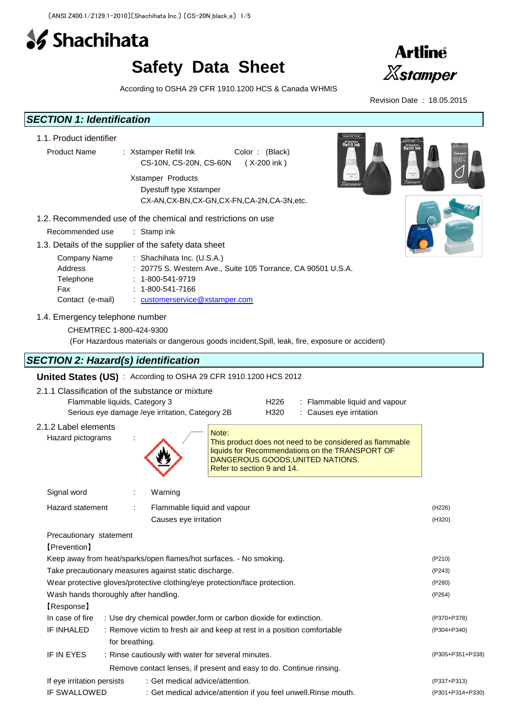

# **Safety Data Sheet**



According to OSHA 29 CFR 1910.1200 HCS & Canada WHMIS



| <b>SECTION 1: Identification</b>                                                  |                                                                                                                                                                                        |                  |
|-----------------------------------------------------------------------------------|----------------------------------------------------------------------------------------------------------------------------------------------------------------------------------------|------------------|
| 1.1. Product identifier<br><b>Product Name</b>                                    | Hoffit In<br>Refill Ink<br>: Xstamper Refill Ink<br>Color: (Black)<br>CS-10N, CS-20N, CS-60N<br>(X-200 ink)                                                                            |                  |
|                                                                                   | Xstamper Products<br>Dyestuff type Xstamper<br>CX-AN,CX-BN,CX-GN,CX-FN,CA-2N,CA-3N,etc.                                                                                                |                  |
| Recommended use                                                                   | 1.2. Recommended use of the chemical and restrictions on use<br>: Stamp ink                                                                                                            |                  |
|                                                                                   | 1.3. Details of the supplier of the safety data sheet                                                                                                                                  |                  |
| Company Name<br>Address<br>Telephone<br>Fax<br>Contact (e-mail)                   | : Shachihata Inc. (U.S.A.)<br>20775 S. Western Ave., Suite 105 Torrance, CA 90501 U.S.A.<br>$: 1 - 800 - 541 - 9719$<br>1-800-541-7166<br>: customerservice@xstamper.com               |                  |
| 1.4. Emergency telephone number<br>CHEMTREC 1-800-424-9300                        | (For Hazardous materials or dangerous goods incident, Spill, leak, fire, exposure or accident)                                                                                         |                  |
| <b>SECTION 2: Hazard(s) identification</b>                                        |                                                                                                                                                                                        |                  |
|                                                                                   | United States (US): According to OSHA 29 CFR 1910.1200 HCS 2012                                                                                                                        |                  |
| 2.1.1 Classification of the substance or mixture<br>Flammable liquids, Category 3 | H <sub>226</sub><br>: Flammable liquid and vapour<br>Serious eye damage /eye irritation, Category 2B<br>H320<br>: Causes eye irritation                                                |                  |
| 2.1.2 Label elements<br>Hazard pictograms                                         | Note:<br>This product does not need to be considered as flammable<br>liquids for Recommendations on the TRANSPORT OF<br>DANGEROUS GOODS, UNITED NATIONS.<br>Refer to section 9 and 14. |                  |
| Signal word                                                                       | Warning                                                                                                                                                                                |                  |
| Hazard statement                                                                  | Flammable liquid and vapour<br>Causes eye irritation                                                                                                                                   | (H226)<br>(H320) |
| Precautionary statement<br>[Prevention]                                           |                                                                                                                                                                                        |                  |
|                                                                                   | Keep away from heat/sparks/open flames/hot surfaces. - No smoking.                                                                                                                     | (P210)           |
|                                                                                   | Take precautionary measures against static discharge.<br>Wear protective gloves/protective clothing/eye protection/face protection.                                                    | (P243)<br>(P280) |
| Wash hands thoroughly after handling.                                             |                                                                                                                                                                                        | (P264)           |
| [Response]                                                                        |                                                                                                                                                                                        |                  |
| In case of fire                                                                   | : Use dry chemical powder, form or carbon dioxide for extinction.                                                                                                                      | (P370+P378)      |
| IF INHALED                                                                        | : Remove victim to fresh air and keep at rest in a position comfortable<br>for breathing.                                                                                              | (P304+P340)      |
| IF IN EYES                                                                        | : Rinse cautiously with water for several minutes.                                                                                                                                     | (P305+P351+P338) |
|                                                                                   | Remove contact lenses, if present and easy to do. Continue rinsing.                                                                                                                    |                  |
| If eye irritation persists                                                        | : Get medical advice/attention.                                                                                                                                                        | (P337+P313)      |
| IF SWALLOWED                                                                      | : Get medical advice/attention if you feel unwell. Rinse mouth.                                                                                                                        | (P301+P314+P330) |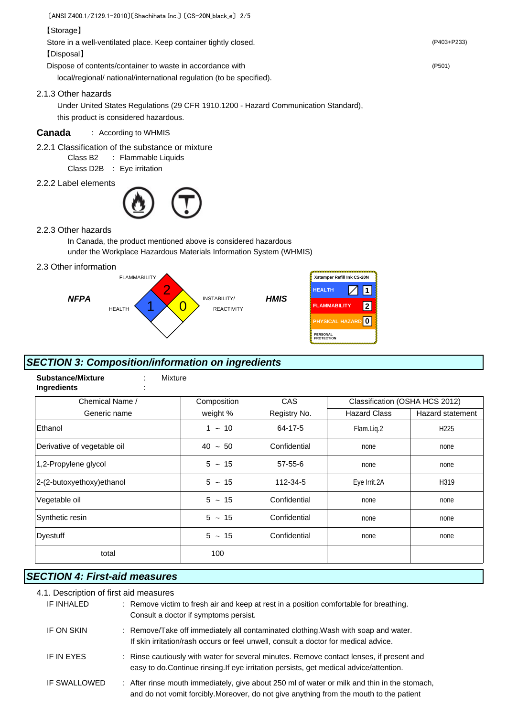〔ANSI Z400.1/Z129.1-2010〕〔Shachihata Inc.〕 〔CS-20N\_black\_e〕 2/5

#### 【Storage】

Store in a well-ventilated place. Keep container tightly closed. (P403+P233)

【Disposal】

Dispose of contents/container to waste in accordance with (P501)

local/regional/ national/international regulation (to be specified).

2.1.3 Other hazards

Under United States Regulations (29 CFR 1910.1200 - Hazard Communication Standard), this product is considered hazardous.

# **Canada** : According to WHMIS

- 2.2.1 Classification of the substance or mixture
	- Class B2 : Flammable Liquids
	- Class D2B : Eye irritation
- 2.2.2 Label elements



2.2.3 Other hazards

In Canada, the product mentioned above is considered hazardous under the Workplace Hazardous Materials Information System (WHMIS)

2.3 Other information



# *SECTION 3: Composition/information on ingredients*

| <b>Substance/Mixture</b><br>Mixture<br>Ingredients<br>٠ |             |               |                                |                  |
|---------------------------------------------------------|-------------|---------------|--------------------------------|------------------|
| Chemical Name /                                         | Composition | <b>CAS</b>    | Classification (OSHA HCS 2012) |                  |
| Generic name                                            | weight %    | Registry No.  | <b>Hazard Class</b>            | Hazard statement |
| Ethanol                                                 | $1 - 10$    | 64-17-5       | Flam.Liq.2                     | H <sub>225</sub> |
| Derivative of vegetable oil                             | $40 - 50$   | Confidential  | none                           | none             |
| 1,2-Propylene glycol                                    | $5 - 15$    | $57 - 55 - 6$ | none                           | none             |
| 2-(2-butoxyethoxy) ethanol                              | $5 \sim 15$ | 112-34-5      | Eye Irrit.2A                   | H319             |
| Vegetable oil                                           | $5 \sim 15$ | Confidential  | none                           | none             |
| Synthetic resin                                         | $5 \sim 15$ | Confidential  | none                           | none             |
| <b>Dyestuff</b>                                         | $5 \sim 15$ | Confidential  | none                           | none             |
| total                                                   | 100         |               |                                |                  |

# *SECTION 4: First-aid measures*

### 4.1. Description of first aid measures

| IF INHALED   | : Remove victim to fresh air and keep at rest in a position comfortable for breathing.<br>Consult a doctor if symptoms persist.                                                         |
|--------------|-----------------------------------------------------------------------------------------------------------------------------------------------------------------------------------------|
| IF ON SKIN   | : Remove/Take off immediately all contaminated clothing. Wash with soap and water.<br>If skin irritation/rash occurs or feel unwell, consult a doctor for medical advice.               |
| IF IN EYES   | : Rinse cautiously with water for several minutes. Remove contact lenses, if present and<br>easy to do. Continue rinsing. If eye irritation persists, get medical advice/attention.     |
| IF SWALLOWED | : After rinse mouth immediately, give about 250 ml of water or milk and thin in the stomach,<br>and do not vomit forcibly. Moreover, do not give anything from the mouth to the patient |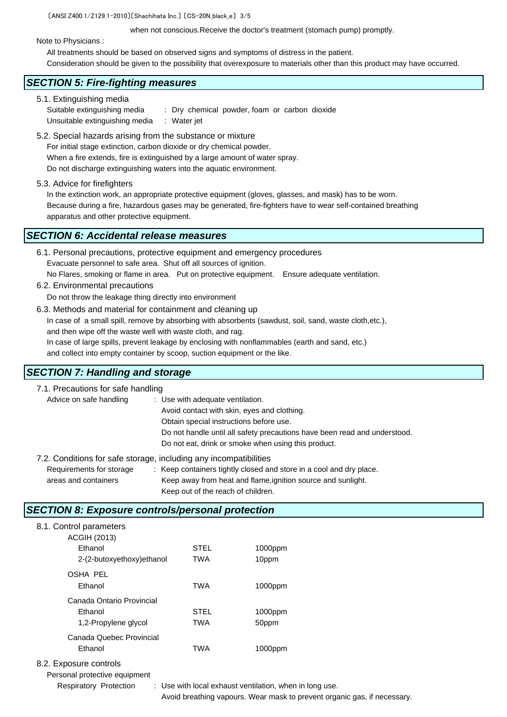〔ANSI Z400.1/Z129.1-2010〕〔Shachihata Inc.〕 〔CS-20N\_black\_e〕 3/5

when not conscious.Receive the doctor's treatment (stomach pump) promptly.

Note to Physicians :

All treatments should be based on observed signs and symptoms of distress in the patient.

Consideration should be given to the possibility that overexposure to materials other than this product may have occurred.

### *SECTION 5: Fire-fighting measures*

5.1. Extinguishing media Suitable extinguishing media : Dry chemical powder, foam or carbon dioxide Unsuitable extinguishing media : Water jet

- 5.2. Special hazards arising from the substance or mixture For initial stage extinction, carbon dioxide or dry chemical powder. When a fire extends, fire is extinguished by a large amount of water spray. Do not discharge extinguishing waters into the aquatic environment.
- 5.3. Advice for firefighters

In the extinction work, an appropriate protective equipment (gloves, glasses, and mask) has to be worn. Because during a fire, hazardous gases may be generated, fire-fighters have to wear self-contained breathing apparatus and other protective equipment.

# *SECTION 6: Accidental release measures*

| 6.1. Personal precautions, protective equipment and emergency procedures |                              |
|--------------------------------------------------------------------------|------------------------------|
| Evacuate personnel to safe area. Shut off all sources of ignition.       |                              |
| No Flares, smoking or flame in area. Put on protective equipment.        | Ensure adequate ventilation. |
| 6.2. Environmental precautions                                           |                              |

Do not throw the leakage thing directly into environment

6.3. Methods and material for containment and cleaning up In case of a small spill, remove by absorbing with absorbents (sawdust, soil, sand, waste cloth,etc.), and then wipe off the waste well with waste cloth, and rag. In case of large spills, prevent leakage by enclosing with nonflammables (earth and sand, etc.) and collect into empty container by scoop, suction equipment or the like.

# *SECTION 7: Handling and storage*

| 7.1. Precautions for safe handling                                |                                                                           |
|-------------------------------------------------------------------|---------------------------------------------------------------------------|
| Advice on safe handling                                           | : Use with adequate ventilation.                                          |
|                                                                   | Avoid contact with skin, eyes and clothing.                               |
|                                                                   | Obtain special instructions before use.                                   |
|                                                                   | Do not handle until all safety precautions have been read and understood. |
|                                                                   | Do not eat, drink or smoke when using this product.                       |
| 7.2. Conditions for safe storage, including any incompatibilities |                                                                           |
| Requirements for storage                                          | : Keep containers tightly closed and store in a cool and dry place.       |
| areas and containers                                              | Keep away from heat and flame, ignition source and sunlight.              |

Keep out of the reach of children.

# *SECTION 8: Exposure controls/personal protection*

| 8.1. Control parameters<br><b>ACGIH (2013)</b>               |                           |                  |
|--------------------------------------------------------------|---------------------------|------------------|
| Ethanol                                                      | <b>STEL</b>               | 1000ppm          |
| 2-(2-butoxyethoxy)ethanol                                    | <b>TWA</b>                | 10ppm            |
| <b>OSHA PEL</b><br>Ethanol                                   | <b>TWA</b>                | 1000ppm          |
| Canada Ontario Provincial<br>Ethanol<br>1,2-Propylene glycol | <b>STEL</b><br><b>TWA</b> | 1000ppm          |
| Canada Quebec Provincial<br>Ethanol                          | <b>TWA</b>                | 50ppm<br>1000ppm |
|                                                              |                           |                  |

# 8.2. Exposure controls

Personal protective equipment

Respiratory Protection : Use with local exhaust ventilation, when in long use. Avoid breathing vapours. Wear mask to prevent organic gas, if necessary.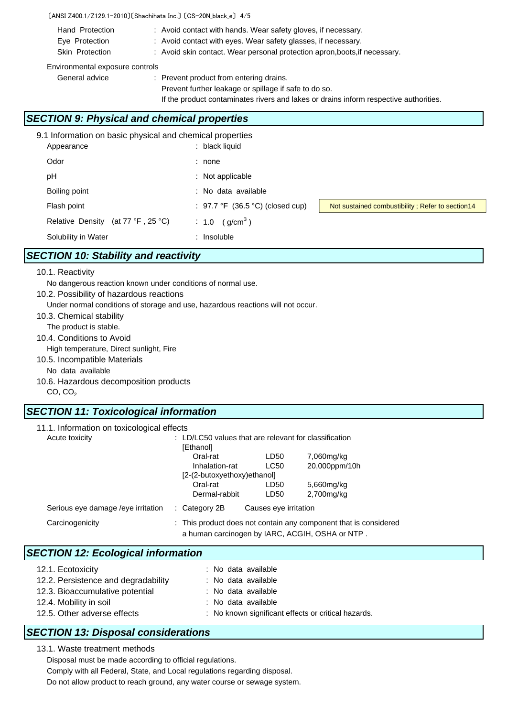#### 〔ANSI Z400.1/Z129.1-2010〕〔Shachihata Inc.〕 〔CS-20N\_black\_e〕 4/5

- Hand Protection : Avoid contact with hands. Wear safety gloves, if necessary. Eye Protection : Avoid contact with eyes. Wear safety glasses, if necessary.
- Skin Protection : Avoid skin contact. Wear personal protection apron, boots, if necessary.

#### Environmental exposure controls

General advice : Prevent product from entering drains.

Prevent further leakage or spillage if safe to do so.

If the product contaminates rivers and lakes or drains inform respective authorities.

# *SECTION 9: Physical and chemical properties*

| 9.1 Information on basic physical and chemical properties |                                          |                                                   |
|-----------------------------------------------------------|------------------------------------------|---------------------------------------------------|
| Appearance                                                | black liquid                             |                                                   |
| Odor                                                      | : none                                   |                                                   |
| рH                                                        | $:$ Not applicable                       |                                                   |
| Boiling point                                             | : No data available                      |                                                   |
| Flash point                                               | : 97.7 °F (36.5 °C) (closed cup)         | Not sustained combustibility; Refer to section 14 |
| Relative Density (at $77 °F$ , $25 °C$ )                  | (g/cm <sup>3</sup> )<br>$\therefore$ 1.0 |                                                   |
| Solubility in Water                                       | : Insoluble                              |                                                   |

# *SECTION 10: Stability and reactivity*

#### 10.1. Reactivity

- No dangerous reaction known under conditions of normal use.
- 10.2. Possibility of hazardous reactions

Under normal conditions of storage and use, hazardous reactions will not occur.

- 10.3. Chemical stability
- The product is stable.
- 10.4. Conditions to Avoid

High temperature, Direct sunlight, Fire

- 10.5. Incompatible Materials
	- No data available
- 10.6. Hazardous decomposition products

 $CO, CO<sub>2</sub>$ 

### *SECTION 11: Toxicological information*

| 11.1. Information on toxicological effects |                             |                                                                                                                     |                       |               |  |
|--------------------------------------------|-----------------------------|---------------------------------------------------------------------------------------------------------------------|-----------------------|---------------|--|
| Acute toxicity                             |                             | $\therefore$ LD/LC50 values that are relevant for classification                                                    |                       |               |  |
|                                            |                             | [Ethanol]                                                                                                           |                       |               |  |
|                                            |                             | Oral-rat                                                                                                            | LD50                  | 7,060mg/kg    |  |
|                                            |                             | Inhalation-rat                                                                                                      | <b>LC50</b>           | 20,000ppm/10h |  |
|                                            | [2-(2-butoxyethoxy)ethanol] |                                                                                                                     |                       |               |  |
|                                            |                             | Oral-rat                                                                                                            | LD50                  | 5,660mg/kg    |  |
|                                            |                             | Dermal-rabbit                                                                                                       | LD50                  | 2,700mg/kg    |  |
| Serious eye damage / eye irritation        |                             | $\therefore$ Category 2B                                                                                            | Causes eye irritation |               |  |
| Carcinogenicity                            |                             | : This product does not contain any component that is considered<br>a human carcinogen by IARC, ACGIH, OSHA or NTP. |                       |               |  |

### *SECTION 12: Ecological information*

| 12.1. Ecotoxicity                   | : No data available                                 |
|-------------------------------------|-----------------------------------------------------|
| 12.2. Persistence and degradability | : No data available                                 |
| 12.3. Bioaccumulative potential     | : No data available                                 |
| 12.4. Mobility in soil              | : No data available                                 |
| 12.5. Other adverse effects         | : No known significant effects or critical hazards. |

### *SECTION 13: Disposal considerations*

13.1. Waste treatment methods

Disposal must be made according to official regulations.

Comply with all Federal, State, and Local regulations regarding disposal.

Do not allow product to reach ground, any water course or sewage system.